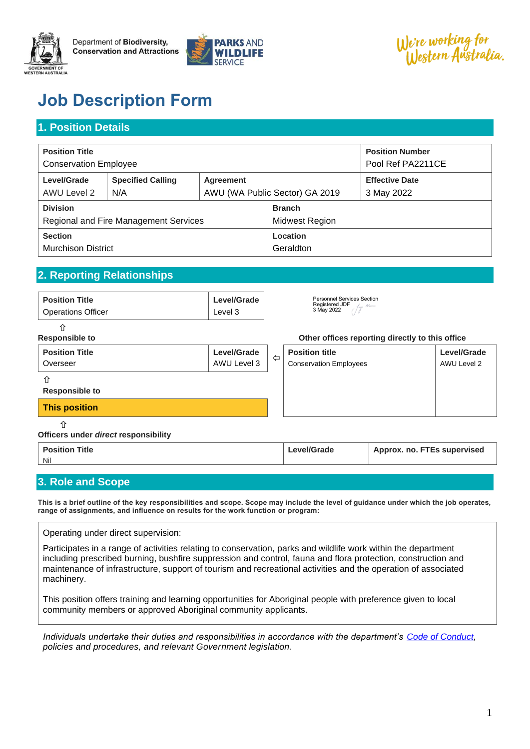

Department of Biodiversity, **Conservation and Attractions** 



We're working for<br>Western Australia.

# **Job Description Form**

## **1. Position Details**

| <b>Position Title</b><br><b>Conservation Employee</b> |                          |                                |  | <b>Position Number</b><br>Pool Ref PA2211CE |
|-------------------------------------------------------|--------------------------|--------------------------------|--|---------------------------------------------|
| Level/Grade                                           | <b>Specified Calling</b> | Agreement                      |  | <b>Effective Date</b>                       |
| AWU Level 2                                           | N/A                      | AWU (WA Public Sector) GA 2019 |  | 3 May 2022                                  |
| <b>Division</b>                                       |                          | <b>Branch</b>                  |  |                                             |
| Regional and Fire Management Services                 |                          | Midwest Region                 |  |                                             |
| <b>Section</b>                                        |                          | Location                       |  |                                             |
| <b>Murchison District</b>                             |                          | Geraldton                      |  |                                             |

## **2. Reporting Relationships**

| <b>Position Title</b><br><b>Operations Officer</b> | Level/Grade<br>Level 3 | <b>Personnel Services Section</b><br>Registered JDF<br>$\mu$<br>3 May 2022 |
|----------------------------------------------------|------------------------|----------------------------------------------------------------------------|
|                                                    |                        |                                                                            |

#### **Responsible to Other offices reporting directly to this office**

| <b>Position Title</b><br>Overseer    | Level/Grade<br>AWU Level 3 | ⇦ | <b>Position title</b><br><b>Conservation Employees</b> |                           | Level/Grade<br>AWU Level 2 |
|--------------------------------------|----------------------------|---|--------------------------------------------------------|---------------------------|----------------------------|
| <b>Responsible to</b>                |                            |   |                                                        |                           |                            |
| <b>This position</b>                 |                            |   |                                                        |                           |                            |
| Officers under direct responsibility |                            |   |                                                        |                           |                            |
| Dealthan Title                       |                            |   | $1 - 10 - 10$                                          | Appear no FTFs superioral |                            |

#### **Position Title** Nil **Level/Grade Approx. no. FTEs supervised**

## **3. Role and Scope**

**This is a brief outline of the key responsibilities and scope. Scope may include the level of guidance under which the job operates, range of assignments, and influence on results for the work function or program:**

Operating under direct supervision:

Participates in a range of activities relating to conservation, parks and wildlife work within the department including prescribed burning, bushfire suppression and control, fauna and flora protection, construction and maintenance of infrastructure, support of tourism and recreational activities and the operation of associated machinery.

This position offers training and learning opportunities for Aboriginal people with preference given to local community members or approved Aboriginal community applicants.

*Individuals undertake their duties and responsibilities in accordance with the department's [Code of Conduct,](http://intranet/csd/People_Services/er/Ethics_conduct/Documents/Code%20of%20Conduct.doc) policies and procedures, and relevant Government legislation.*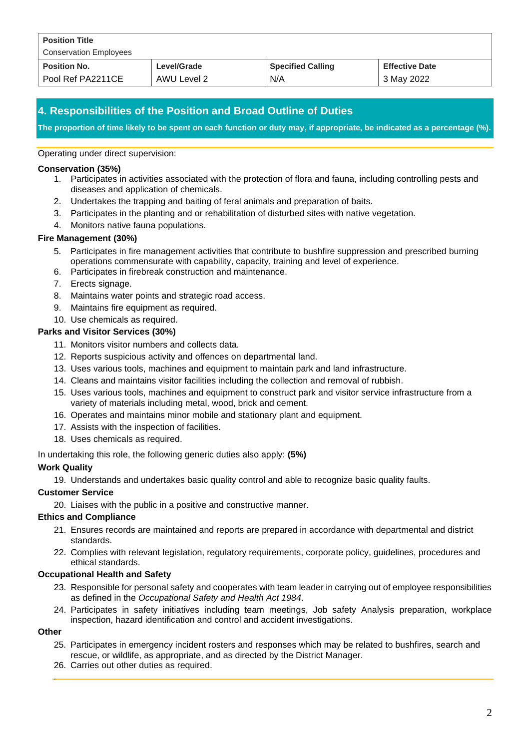| <b>Position Title</b><br><b>Conservation Employees</b> |             |                          |                       |
|--------------------------------------------------------|-------------|--------------------------|-----------------------|
| <b>Position No.</b>                                    | Level/Grade | <b>Specified Calling</b> | <b>Effective Date</b> |
| Pool Ref PA2211CE                                      | AWU Level 2 | N/A                      | 3 May 2022            |

## **4. Responsibilities of the Position and Broad Outline of Duties**

**The proportion of time likely to be spent on each function or duty may, if appropriate, be indicated as a percentage (%).**

#### Operating under direct supervision:

#### **Conservation (35%)**

- 1. Participates in activities associated with the protection of flora and fauna, including controlling pests and diseases and application of chemicals.
- 2. Undertakes the trapping and baiting of feral animals and preparation of baits.
- 3. Participates in the planting and or rehabilitation of disturbed sites with native vegetation.
- 4. Monitors native fauna populations.

#### **Fire Management (30%)**

- 5. Participates in fire management activities that contribute to bushfire suppression and prescribed burning operations commensurate with capability, capacity, training and level of experience.
- 6. Participates in firebreak construction and maintenance.
- 7. Erects signage.
- 8. Maintains water points and strategic road access.
- 9. Maintains fire equipment as required.
- 10. Use chemicals as required.

#### **Parks and Visitor Services (30%)**

- 11. Monitors visitor numbers and collects data.
- 12. Reports suspicious activity and offences on departmental land.
- 13. Uses various tools, machines and equipment to maintain park and land infrastructure.
- 14. Cleans and maintains visitor facilities including the collection and removal of rubbish.
- 15. Uses various tools, machines and equipment to construct park and visitor service infrastructure from a variety of materials including metal, wood, brick and cement.
- 16. Operates and maintains minor mobile and stationary plant and equipment.
- 17. Assists with the inspection of facilities.
- 18. Uses chemicals as required.

In undertaking this role, the following generic duties also apply: **(5%)**

#### **Work Quality**

19. Understands and undertakes basic quality control and able to recognize basic quality faults.

#### **Customer Service**

20. Liaises with the public in a positive and constructive manner.

#### **Ethics and Compliance**

- 21. Ensures records are maintained and reports are prepared in accordance with departmental and district standards.
- 22. Complies with relevant legislation, regulatory requirements, corporate policy, guidelines, procedures and ethical standards.

#### **Occupational Health and Safety**

- 23. Responsible for personal safety and cooperates with team leader in carrying out of employee responsibilities as defined in the *Occupational Safety and Health Act 1984*.
- 24. Participates in safety initiatives including team meetings, Job safety Analysis preparation, workplace inspection, hazard identification and control and accident investigations.

#### **Other**

- 25. Participates in emergency incident rosters and responses which may be related to bushfires, search and rescue, or wildlife, as appropriate, and as directed by the District Manager.
- 26. Carries out other duties as required.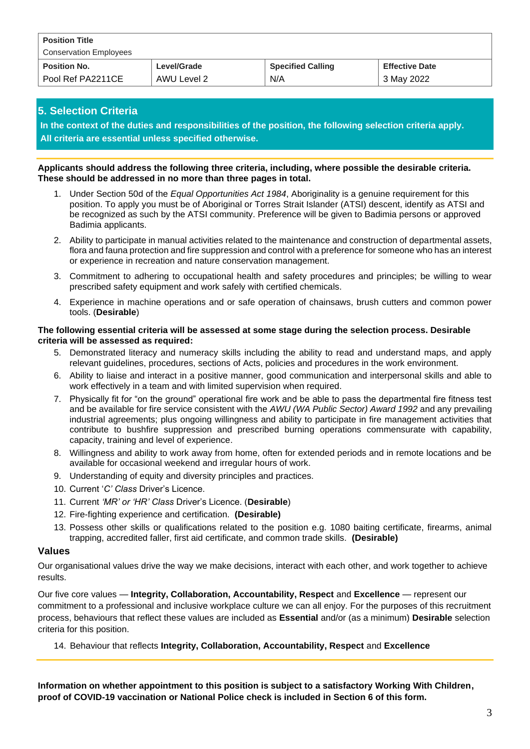| <b>Position Title</b><br><b>Conservation Employees</b> |             |                          |                       |
|--------------------------------------------------------|-------------|--------------------------|-----------------------|
| <b>Position No.</b>                                    | Level/Grade | <b>Specified Calling</b> | <b>Effective Date</b> |
| Pool Ref PA2211CE                                      | AWU Level 2 | N/A                      | 3 May 2022            |

### **5. Selection Criteria**

**In the context of the duties and responsibilities of the position, the following selection criteria apply. All criteria are essential unless specified otherwise.**

#### **Applicants should address the following three criteria, including, where possible the desirable criteria. These should be addressed in no more than three pages in total.**

- 1. Under Section 50d of the *Equal Opportunities Act 1984*, Aboriginality is a genuine requirement for this position. To apply you must be of Aboriginal or Torres Strait Islander (ATSI) descent, identify as ATSI and be recognized as such by the ATSI community. Preference will be given to Badimia persons or approved Badimia applicants.
- 2. Ability to participate in manual activities related to the maintenance and construction of departmental assets, flora and fauna protection and fire suppression and control with a preference for someone who has an interest or experience in recreation and nature conservation management.
- 3. Commitment to adhering to occupational health and safety procedures and principles; be willing to wear prescribed safety equipment and work safely with certified chemicals.
- 4. Experience in machine operations and or safe operation of chainsaws, brush cutters and common power tools. (**Desirable**)

#### **The following essential criteria will be assessed at some stage during the selection process. Desirable criteria will be assessed as required:**

- 5. Demonstrated literacy and numeracy skills including the ability to read and understand maps, and apply relevant guidelines, procedures, sections of Acts, policies and procedures in the work environment.
- 6. Ability to liaise and interact in a positive manner, good communication and interpersonal skills and able to work effectively in a team and with limited supervision when required.
- 7. Physically fit for "on the ground" operational fire work and be able to pass the departmental fire fitness test and be available for fire service consistent with the *AWU (WA Public Sector) Award 1992* and any prevailing industrial agreements; plus ongoing willingness and ability to participate in fire management activities that contribute to bushfire suppression and prescribed burning operations commensurate with capability, capacity, training and level of experience.
- 8. Willingness and ability to work away from home, often for extended periods and in remote locations and be available for occasional weekend and irregular hours of work.
- 9. Understanding of equity and diversity principles and practices.
- 10. Current '*C' Class* Driver's Licence.
- 11. Current *'MR' or 'HR' Class* Driver's Licence. (**Desirable**)
- 12. Fire-fighting experience and certification. **(Desirable)**
- 13. Possess other skills or qualifications related to the position e.g. 1080 baiting certificate, firearms, animal trapping, accredited faller, first aid certificate, and common trade skills. **(Desirable)**

#### **Values**

Our organisational values drive the way we make decisions, interact with each other, and work together to achieve results.

Our five core values — **Integrity, Collaboration, Accountability, Respect** and **Excellence** — represent our commitment to a professional and inclusive workplace culture we can all enjoy. For the purposes of this recruitment process, behaviours that reflect these values are included as **Essential** and/or (as a minimum) **Desirable** selection criteria for this position.

14. Behaviour that reflects **Integrity, Collaboration, Accountability, Respect** and **Excellence** 

**Information on whether appointment to this position is subject to a satisfactory Working With Children, proof of COVID-19 vaccination or National Police check is included in Section 6 of this form.**